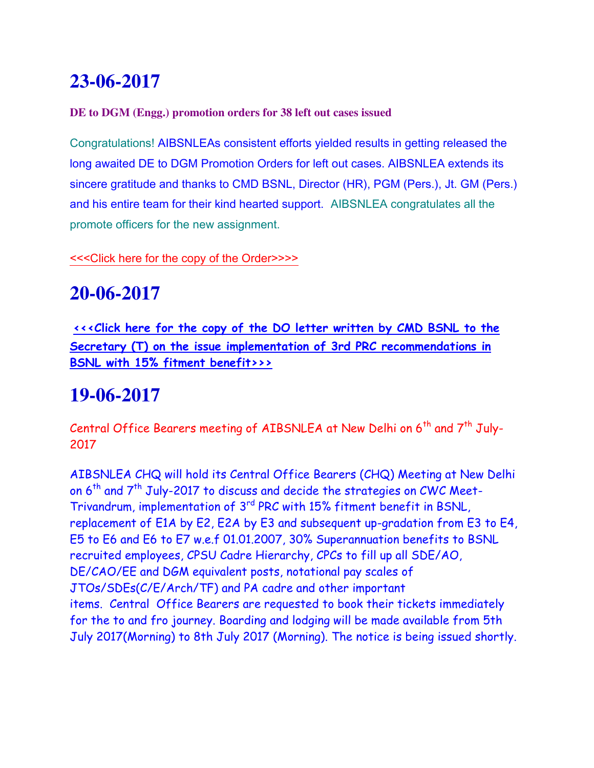# **23-06-2017**

#### **DE to DGM (Engg.) promotion orders for 38 left out cases issued**

Congratulations! AIBSNLEAs consistent efforts yielded results in getting released the long awaited DE to DGM Promotion Orders for left out cases. AIBSNLEA extends its sincere gratitude and thanks to CMD BSNL, Director (HR), PGM (Pers.), Jt. GM (Pers.) and his entire team for their kind hearted support. AIBSNLEA congratulates all the promote officers for the new assignment.

[<<<Click here for the copy of the Order>>>>](http://www.aibsnleachq.in/DGM_230617_1.pdf) 

## **20-06-2017**

**[<<<Click here for the copy of the DO letter written by CMD BSNL to the](http://www.aibsnleachq.in/BSNL_170620.pdf)  [Secretary \(T\) on the issue implementation of 3rd PRC recommendations in](http://www.aibsnleachq.in/BSNL_170620.pdf)  [BSNL with 15% fitment benefit>>>](http://www.aibsnleachq.in/BSNL_170620.pdf)**

## **19-06-2017**

Central Office Bearers meeting of AIBSNLEA at New Delhi on  $6<sup>th</sup>$  and  $7<sup>th</sup>$  July-2017

AIBSNLEA CHQ will hold its Central Office Bearers (CHQ) Meeting at New Delhi on  $6^{th}$  and  $7^{th}$  July-2017 to discuss and decide the strategies on CWC Meet-Trivandrum, implementation of 3rd PRC with 15% fitment benefit in BSNL, replacement of E1A by E2, E2A by E3 and subsequent up-gradation from E3 to E4, E5 to E6 and E6 to E7 w.e.f 01.01.2007, 30% Superannuation benefits to BSNL recruited employees, CPSU Cadre Hierarchy, CPCs to fill up all SDE/AO, DE/CAO/EE and DGM equivalent posts, notational pay scales of JTOs/SDEs(C/E/Arch/TF) and PA cadre and other important items. Central Office Bearers are requested to book their tickets immediately for the to and fro journey. Boarding and lodging will be made available from 5th July 2017(Morning) to 8th July 2017 (Morning). The notice is being issued shortly.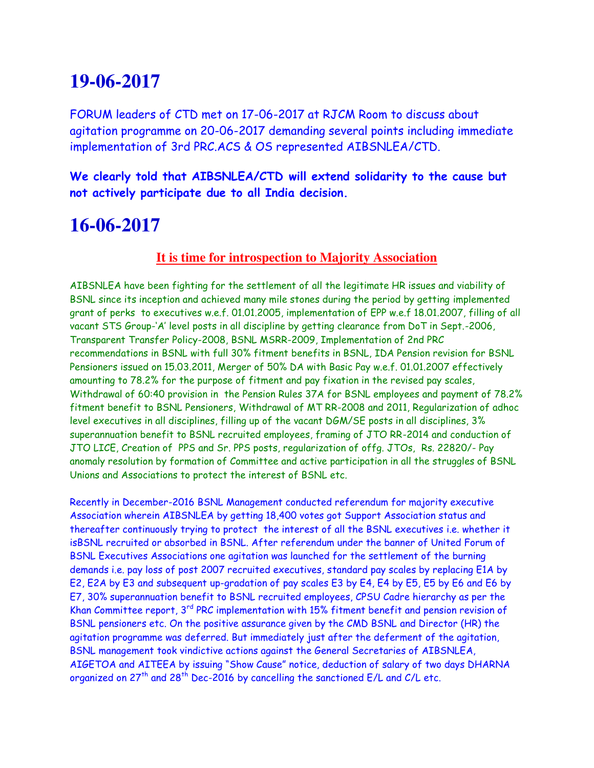#### **19-06-2017**

FORUM leaders of CTD met on 17-06-2017 at RJCM Room to discuss about agitation programme on 20-06-2017 demanding several points including immediate implementation of 3rd PRC.ACS & OS represented AIBSNLEA/CTD.

**We clearly told that AIBSNLEA/CTD will extend solidarity to the cause but not actively participate due to all India decision.**

### **16-06-2017**

#### **It is time for introspection to Majority Association**

AIBSNLEA have been fighting for the settlement of all the legitimate HR issues and viability of BSNL since its inception and achieved many mile stones during the period by getting implemented grant of perks to executives w.e.f. 01.01.2005, implementation of EPP w.e.f 18.01.2007, filling of all vacant STS Group-'A' level posts in all discipline by getting clearance from DoT in Sept.-2006, Transparent Transfer Policy-2008, BSNL MSRR-2009, Implementation of 2nd PRC recommendations in BSNL with full 30% fitment benefits in BSNL, IDA Pension revision for BSNL Pensioners issued on 15.03.2011, Merger of 50% DA with Basic Pay w.e.f. 01.01.2007 effectively amounting to 78.2% for the purpose of fitment and pay fixation in the revised pay scales, Withdrawal of 60:40 provision in the Pension Rules 37A for BSNL employees and payment of 78.2% fitment benefit to BSNL Pensioners, Withdrawal of MT RR-2008 and 2011, Regularization of adhoc level executives in all disciplines, filling up of the vacant DGM/SE posts in all disciplines, 3% superannuation benefit to BSNL recruited employees, framing of JTO RR-2014 and conduction of JTO LICE, Creation of PPS and Sr. PPS posts, regularization of offg. JTOs, Rs. 22820/- Pay anomaly resolution by formation of Committee and active participation in all the struggles of BSNL Unions and Associations to protect the interest of BSNL etc.

Recently in December-2016 BSNL Management conducted referendum for majority executive Association wherein AIBSNLEA by getting 18,400 votes got Support Association status and thereafter continuously trying to protect the interest of all the BSNL executives i.e. whether it isBSNL recruited or absorbed in BSNL. After referendum under the banner of United Forum of BSNL Executives Associations one agitation was launched for the settlement of the burning demands i.e. pay loss of post 2007 recruited executives, standard pay scales by replacing E1A by E2, E2A by E3 and subsequent up-gradation of pay scales E3 by E4, E4 by E5, E5 by E6 and E6 by E7, 30% superannuation benefit to BSNL recruited employees, CPSU Cadre hierarchy as per the Khan Committee report,  $3^{rd}$  PRC implementation with 15% fitment benefit and pension revision of BSNL pensioners etc. On the positive assurance given by the CMD BSNL and Director (HR) the agitation programme was deferred. But immediately just after the deferment of the agitation, BSNL management took vindictive actions against the General Secretaries of AIBSNLEA, AIGETOA and AITEEA by issuing "Show Cause" notice, deduction of salary of two days DHARNA organized on  $27<sup>th</sup>$  and  $28<sup>th</sup>$  Dec-2016 by cancelling the sanctioned E/L and C/L etc.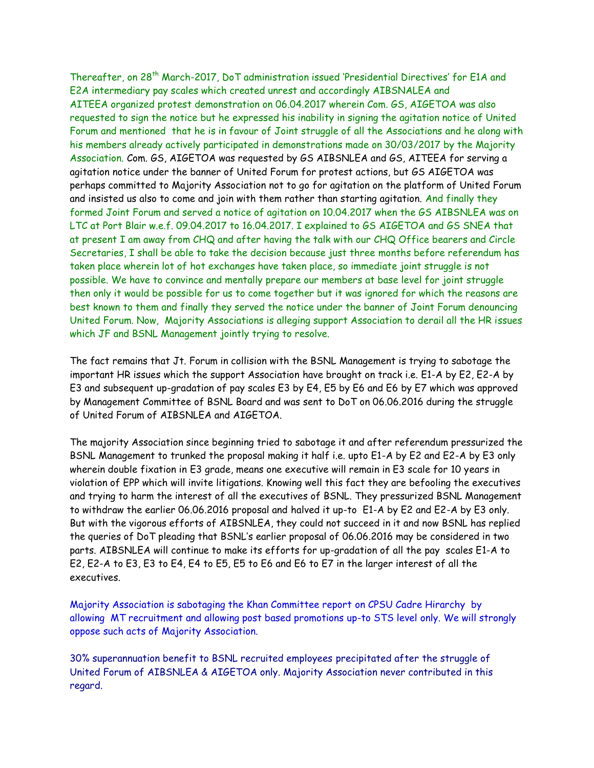Thereafter, on 28<sup>th</sup> March-2017, DoT administration issued 'Presidential Directives' for E1A and E2A intermediary pay scales which created unrest and accordingly AIBSNALEA and AITEEA organized protest demonstration on 06.04.2017 wherein Com. GS, AIGETOA was also requested to sign the notice but he expressed his inability in signing the agitation notice of United Forum and mentioned that he is in favour of Joint struggle of all the Associations and he along with his members already actively participated in demonstrations made on 30/03/2017 by the Majority Association. Com. GS, AIGETOA was requested by GS AIBSNLEA and GS, AITEEA for serving a agitation notice under the banner of United Forum for protest actions, but GS AIGETOA was perhaps committed to Majority Association not to go for agitation on the platform of United Forum and insisted us also to come and join with them rather than starting agitation. And finally they formed Joint Forum and served a notice of agitation on 10.04.2017 when the GS AIBSNLEA was on LTC at Port Blair w.e.f. 09.04.2017 to 16.04.2017. I explained to GS AIGETOA and GS SNEA that at present I am away from CHQ and after having the talk with our CHQ Office bearers and Circle Secretaries, I shall be able to take the decision because just three months before referendum has taken place wherein lot of hot exchanges have taken place, so immediate joint struggle is not possible. We have to convince and mentally prepare our members at base level for joint struggle then only it would be possible for us to come together but it was ignored for which the reasons are best known to them and finally they served the notice under the banner of Joint Forum denouncing United Forum. Now, Majority Associations is alleging support Association to derail all the HR issues which JF and BSNL Management jointly trying to resolve.

The fact remains that Jt. Forum in collision with the BSNL Management is trying to sabotage the important HR issues which the support Association have brought on track i.e. E1-A by E2, E2-A by E3 and subsequent up-gradation of pay scales E3 by E4, E5 by E6 and E6 by E7 which was approved by Management Committee of BSNL Board and was sent to DoT on 06.06.2016 during the struggle of United Forum of AIBSNLEA and AIGETOA.

The majority Association since beginning tried to sabotage it and after referendum pressurized the BSNL Management to trunked the proposal making it half i.e. upto E1-A by E2 and E2-A by E3 only wherein double fixation in E3 grade, means one executive will remain in E3 scale for 10 years in violation of EPP which will invite litigations. Knowing well this fact they are befooling the executives and trying to harm the interest of all the executives of BSNL. They pressurized BSNL Management to withdraw the earlier 06.06.2016 proposal and halved it up-to E1-A by E2 and E2-A by E3 only. But with the vigorous efforts of AIBSNLEA, they could not succeed in it and now BSNL has replied the queries of DoT pleading that BSNL's earlier proposal of 06.06.2016 may be considered in two parts. AIBSNLEA will continue to make its efforts for up-gradation of all the pay scales E1-A to E2, E2-A to E3, E3 to E4, E4 to E5, E5 to E6 and E6 to E7 in the larger interest of all the executives.

Majority Association is sabotaging the Khan Committee report on CPSU Cadre Hirarchy by allowing MT recruitment and allowing post based promotions up-to STS level only. We will strongly oppose such acts of Majority Association.

30% superannuation benefit to BSNL recruited employees precipitated after the struggle of United Forum of AIBSNLEA & AIGETOA only. Majority Association never contributed in this regard.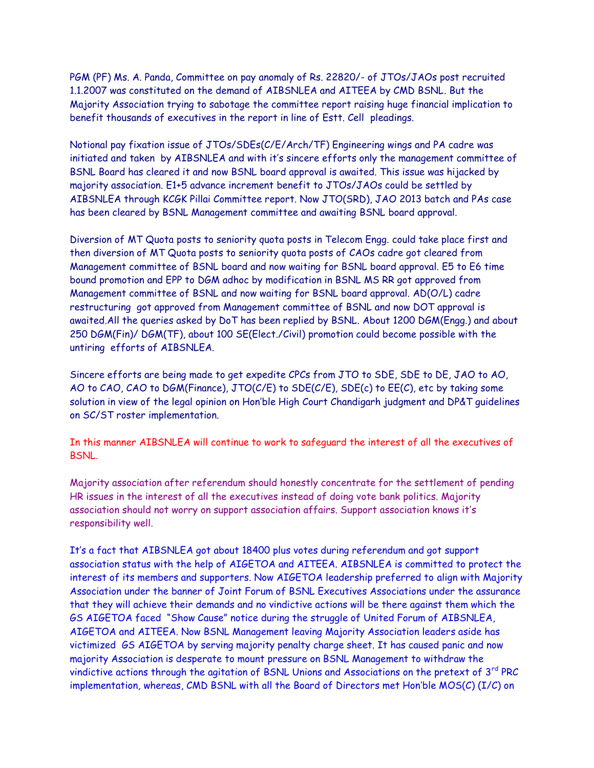PGM (PF) Ms. A. Panda, Committee on pay anomaly of Rs. 22820/- of JTOs/JAOs post recruited 1.1.2007 was constituted on the demand of AIBSNLEA and AITEEA by CMD BSNL. But the Majority Association trying to sabotage the committee report raising huge financial implication to benefit thousands of executives in the report in line of Estt. Cell pleadings.

Notional pay fixation issue of JTOs/SDEs(C/E/Arch/TF) Engineering wings and PA cadre was initiated and taken by AIBSNLEA and with it's sincere efforts only the management committee of BSNL Board has cleared it and now BSNL board approval is awaited. This issue was hijacked by majority association. E1+5 advance increment benefit to JTOs/JAOs could be settled by AIBSNLEA through KCGK Pillai Committee report. Now JTO(SRD), JAO 2013 batch and PAs case has been cleared by BSNL Management committee and awaiting BSNL board approval.

Diversion of MT Quota posts to seniority quota posts in Telecom Engg. could take place first and then diversion of MT Quota posts to seniority quota posts of CAOs cadre got cleared from Management committee of BSNL board and now waiting for BSNL board approval. E5 to E6 time bound promotion and EPP to DGM adhoc by modification in BSNL MS RR got approved from Management committee of BSNL and now waiting for BSNL board approval. AD(O/L) cadre restructuring got approved from Management committee of BSNL and now DOT approval is awaited.All the queries asked by DoT has been replied by BSNL. About 1200 DGM(Engg.) and about 250 DGM(Fin)/ DGM(TF), about 100 SE(Elect./Civil) promotion could become possible with the untiring efforts of AIBSNLEA.

Sincere efforts are being made to get expedite CPCs from JTO to SDE, SDE to DE, JAO to AO, AO to CAO, CAO to DGM(Finance), JTO(C/E) to SDE(C/E), SDE(c) to EE(C), etc by taking some solution in view of the legal opinion on Hon'ble High Court Chandigarh judgment and DP&T guidelines on SC/ST roster implementation.

In this manner AIBSNLEA will continue to work to safeguard the interest of all the executives of BSNL.

Majority association after referendum should honestly concentrate for the settlement of pending HR issues in the interest of all the executives instead of doing vote bank politics. Majority association should not worry on support association affairs. Support association knows it's responsibility well.

It's a fact that AIBSNLEA got about 18400 plus votes during referendum and got support association status with the help of AIGETOA and AITEEA. AIBSNLEA is committed to protect the interest of its members and supporters. Now AIGETOA leadership preferred to align with Majority Association under the banner of Joint Forum of BSNL Executives Associations under the assurance that they will achieve their demands and no vindictive actions will be there against them which the GS AIGETOA faced "Show Cause" notice during the struggle of United Forum of AIBSNLEA, AIGETOA and AITEEA. Now BSNL Management leaving Majority Association leaders aside has victimized GS AIGETOA by serving majority penalty charge sheet. It has caused panic and now majority Association is desperate to mount pressure on BSNL Management to withdraw the vindictive actions through the agitation of BSNL Unions and Associations on the pretext of 3<sup>rd</sup> PRC implementation, whereas, CMD BSNL with all the Board of Directors met Hon'ble MOS(C) (I/C) on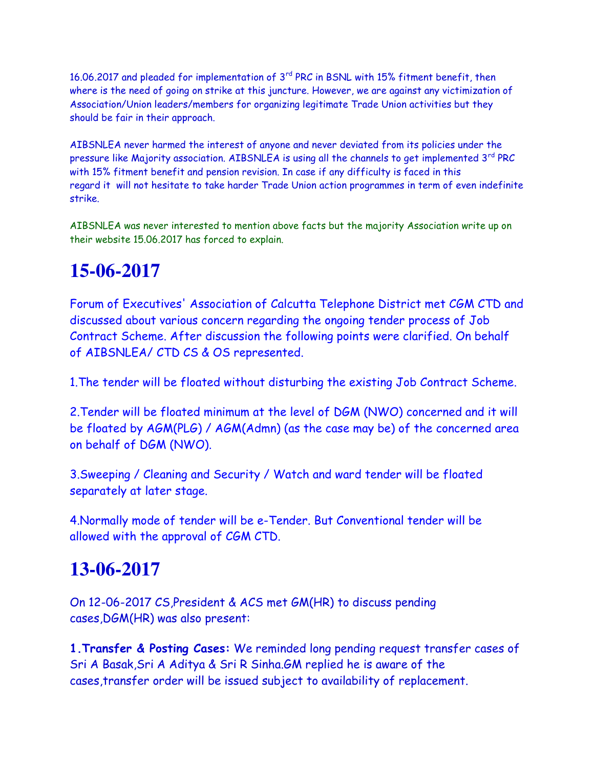16.06.2017 and pleaded for implementation of 3<sup>rd</sup> PRC in BSNL with 15% fitment benefit, then where is the need of going on strike at this juncture. However, we are against any victimization of Association/Union leaders/members for organizing legitimate Trade Union activities but they should be fair in their approach.

AIBSNLEA never harmed the interest of anyone and never deviated from its policies under the pressure like Majority association. AIBSNLEA is using all the channels to get implemented  $3<sup>rd</sup> PRC$ with 15% fitment benefit and pension revision. In case if any difficulty is faced in this regard it will not hesitate to take harder Trade Union action programmes in term of even indefinite strike.

AIBSNLEA was never interested to mention above facts but the majority Association write up on their website 15.06.2017 has forced to explain.

## **15-06-2017**

Forum of Executives' Association of Calcutta Telephone District met CGM CTD and discussed about various concern regarding the ongoing tender process of Job Contract Scheme. After discussion the following points were clarified. On behalf of AIBSNLEA/ CTD CS & OS represented.

1.The tender will be floated without disturbing the existing Job Contract Scheme.

2.Tender will be floated minimum at the level of DGM (NWO) concerned and it will be floated by AGM(PLG) / AGM(Admn) (as the case may be) of the concerned area on behalf of DGM (NWO).

3.Sweeping / Cleaning and Security / Watch and ward tender will be floated separately at later stage.

4.Normally mode of tender will be e-Tender. But Conventional tender will be allowed with the approval of CGM CTD.

### **13-06-2017**

On 12-06-2017 CS,President & ACS met GM(HR) to discuss pending cases,DGM(HR) was also present:

**1.Transfer & Posting Cases:** We reminded long pending request transfer cases of Sri A Basak,Sri A Aditya & Sri R Sinha.GM replied he is aware of the cases,transfer order will be issued subject to availability of replacement.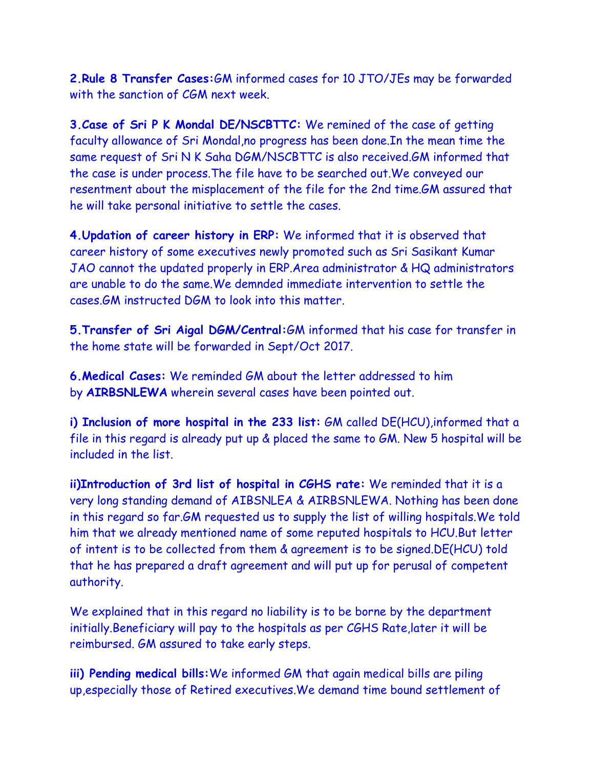**2.Rule 8 Transfer Cases:**GM informed cases for 10 JTO/JEs may be forwarded with the sanction of CGM next week.

**3.Case of Sri P K Mondal DE/NSCBTTC:** We remined of the case of getting faculty allowance of Sri Mondal,no progress has been done.In the mean time the same request of Sri N K Saha DGM/NSCBTTC is also received.GM informed that the case is under process.The file have to be searched out.We conveyed our resentment about the misplacement of the file for the 2nd time.GM assured that he will take personal initiative to settle the cases.

**4.Updation of career history in ERP:** We informed that it is observed that career history of some executives newly promoted such as Sri Sasikant Kumar JAO cannot the updated properly in ERP.Area administrator & HQ administrators are unable to do the same.We demnded immediate intervention to settle the cases.GM instructed DGM to look into this matter.

**5.Transfer of Sri Aigal DGM/Central:**GM informed that his case for transfer in the home state will be forwarded in Sept/Oct 2017.

**6.Medical Cases:** We reminded GM about the letter addressed to him by **AIRBSNLEWA** wherein several cases have been pointed out.

**i) Inclusion of more hospital in the 233 list:** GM called DE(HCU),informed that a file in this regard is already put up & placed the same to GM. New 5 hospital will be included in the list.

**ii)Introduction of 3rd list of hospital in CGHS rate:** We reminded that it is a very long standing demand of AIBSNLEA & AIRBSNLEWA. Nothing has been done in this regard so far.GM requested us to supply the list of willing hospitals.We told him that we already mentioned name of some reputed hospitals to HCU.But letter of intent is to be collected from them & agreement is to be signed.DE(HCU) told that he has prepared a draft agreement and will put up for perusal of competent authority.

We explained that in this regard no liability is to be borne by the department initially.Beneficiary will pay to the hospitals as per CGHS Rate,later it will be reimbursed. GM assured to take early steps.

**iii) Pending medical bills:**We informed GM that again medical bills are piling up,especially those of Retired executives.We demand time bound settlement of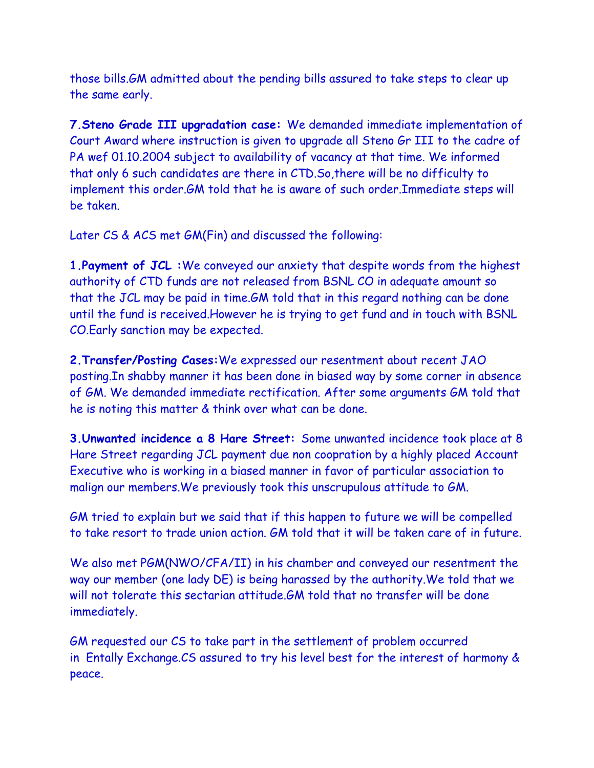those bills.GM admitted about the pending bills assured to take steps to clear up the same early.

**7.Steno Grade III upgradation case:** We demanded immediate implementation of Court Award where instruction is given to upgrade all Steno Gr III to the cadre of PA wef 01.10.2004 subject to availability of vacancy at that time. We informed that only 6 such candidates are there in CTD.So,there will be no difficulty to implement this order.GM told that he is aware of such order.Immediate steps will be taken.

Later CS & ACS met GM(Fin) and discussed the following:

**1.Payment of JCL :**We conveyed our anxiety that despite words from the highest authority of CTD funds are not released from BSNL CO in adequate amount so that the JCL may be paid in time.GM told that in this regard nothing can be done until the fund is received.However he is trying to get fund and in touch with BSNL CO.Early sanction may be expected.

**2.Transfer/Posting Cases:**We expressed our resentment about recent JAO posting.In shabby manner it has been done in biased way by some corner in absence of GM. We demanded immediate rectification. After some arguments GM told that he is noting this matter & think over what can be done.

**3.Unwanted incidence a 8 Hare Street:** Some unwanted incidence took place at 8 Hare Street regarding JCL payment due non coopration by a highly placed Account Executive who is working in a biased manner in favor of particular association to malign our members.We previously took this unscrupulous attitude to GM.

GM tried to explain but we said that if this happen to future we will be compelled to take resort to trade union action. GM told that it will be taken care of in future.

We also met PGM(NWO/CFA/II) in his chamber and conveyed our resentment the way our member (one lady DE) is being harassed by the authority.We told that we will not tolerate this sectarian attitude. GM told that no transfer will be done immediately.

GM requested our CS to take part in the settlement of problem occurred in Entally Exchange.CS assured to try his level best for the interest of harmony & peace.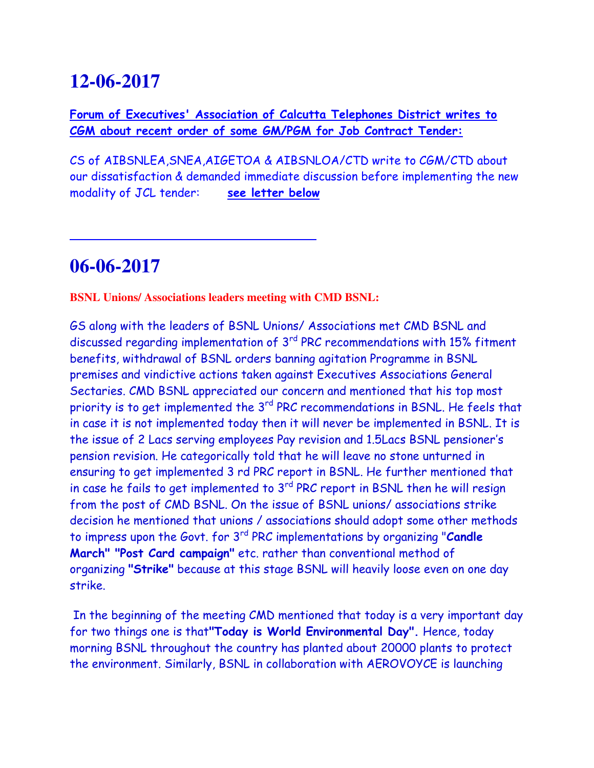## **12-06-2017**

**Forum of Executives' Association of Calcutta Telephones District writes to CGM about recent order of some GM/PGM for Job Contract Tender:**

CS of AIBSNLEA,SNEA,AIGETOA & AIBSNLOA/CTD write to CGM/CTD about our dissatisfaction & demanded immediate discussion before implementing the new modality of JCL tender: **see letter below**

## **06-06-2017**

L

**BSNL Unions/ Associations leaders meeting with CMD BSNL:** 

GS along with the leaders of BSNL Unions/ Associations met CMD BSNL and discussed regarding implementation of 3rd PRC recommendations with 15% fitment benefits, withdrawal of BSNL orders banning agitation Programme in BSNL premises and vindictive actions taken against Executives Associations General Sectaries. CMD BSNL appreciated our concern and mentioned that his top most priority is to get implemented the 3<sup>rd</sup> PRC recommendations in BSNL. He feels that in case it is not implemented today then it will never be implemented in BSNL. It is the issue of 2 Lacs serving employees Pay revision and 1.5Lacs BSNL pensioner's pension revision. He categorically told that he will leave no stone unturned in ensuring to get implemented 3 rd PRC report in BSNL. He further mentioned that in case he fails to get implemented to  $3<sup>rd</sup> PRC$  report in BSNL then he will resign from the post of CMD BSNL. On the issue of BSNL unions/ associations strike decision he mentioned that unions / associations should adopt some other methods to impress upon the Govt. for 3rd PRC implementations by organizing "**Candle March" "Post Card campaign"** etc. rather than conventional method of organizing **"Strike"** because at this stage BSNL will heavily loose even on one day strike.

 In the beginning of the meeting CMD mentioned that today is a very important day for two things one is that**"Today is World Environmental Day".** Hence, today morning BSNL throughout the country has planted about 20000 plants to protect the environment. Similarly, BSNL in collaboration with AEROVOYCE is launching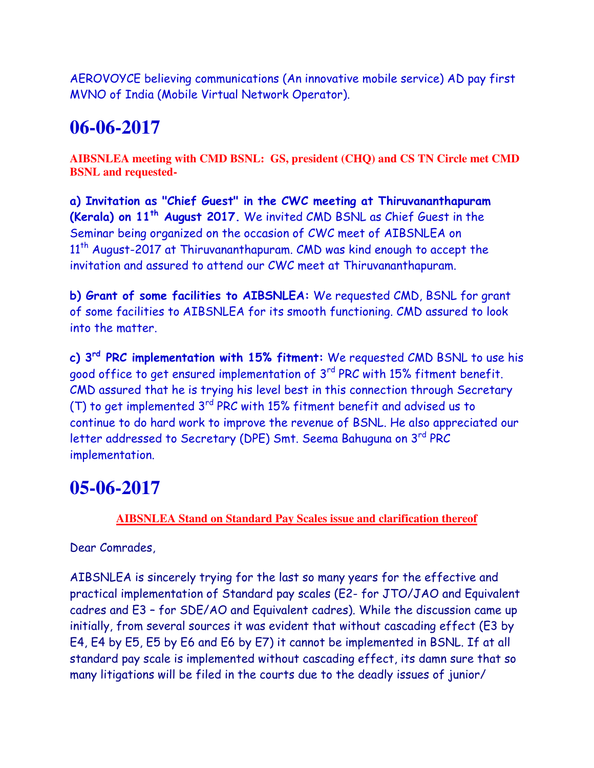AEROVOYCE believing communications (An innovative mobile service) AD pay first MVNO of India (Mobile Virtual Network Operator).

## **06-06-2017**

**AIBSNLEA meeting with CMD BSNL: GS, president (CHQ) and CS TN Circle met CMD BSNL and requested-**

**a) Invitation as "Chief Guest" in the CWC meeting at Thiruvananthapuram (Kerala) on 11th August 2017.** We invited CMD BSNL as Chief Guest in the Seminar being organized on the occasion of CWC meet of AIBSNLEA on 11<sup>th</sup> August-2017 at Thiruvananthapuram. CMD was kind enough to accept the invitation and assured to attend our CWC meet at Thiruvananthapuram.

**b) Grant of some facilities to AIBSNLEA:** We requested CMD, BSNL for grant of some facilities to AIBSNLEA for its smooth functioning. CMD assured to look into the matter.

**c) 3rd PRC implementation with 15% fitment:** We requested CMD BSNL to use his good office to get ensured implementation of 3<sup>rd</sup> PRC with 15% fitment benefit. CMD assured that he is trying his level best in this connection through Secretary (T) to get implemented 3rd PRC with 15% fitment benefit and advised us to continue to do hard work to improve the revenue of BSNL. He also appreciated our letter addressed to Secretary (DPE) Smt. Seema Bahuguna on 3rd PRC implementation.

## **05-06-2017**

#### **AIBSNLEA Stand on Standard Pay Scales issue and clarification thereof**

Dear Comrades,

AIBSNLEA is sincerely trying for the last so many years for the effective and practical implementation of Standard pay scales (E2- for JTO/JAO and Equivalent cadres and E3 – for SDE/AO and Equivalent cadres). While the discussion came up initially, from several sources it was evident that without cascading effect (E3 by E4, E4 by E5, E5 by E6 and E6 by E7) it cannot be implemented in BSNL. If at all standard pay scale is implemented without cascading effect, its damn sure that so many litigations will be filed in the courts due to the deadly issues of junior/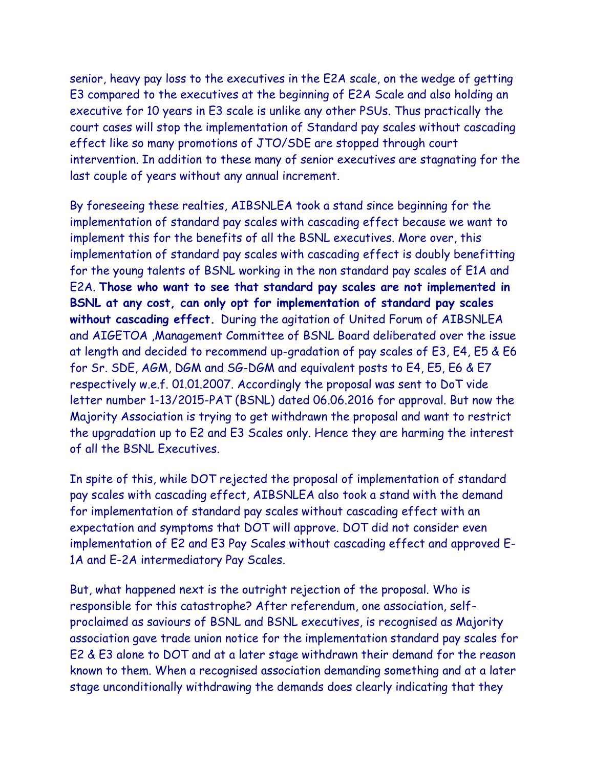senior, heavy pay loss to the executives in the E2A scale, on the wedge of getting E3 compared to the executives at the beginning of E2A Scale and also holding an executive for 10 years in E3 scale is unlike any other PSUs. Thus practically the court cases will stop the implementation of Standard pay scales without cascading effect like so many promotions of JTO/SDE are stopped through court intervention. In addition to these many of senior executives are stagnating for the last couple of years without any annual increment.

By foreseeing these realties, AIBSNLEA took a stand since beginning for the implementation of standard pay scales with cascading effect because we want to implement this for the benefits of all the BSNL executives. More over, this implementation of standard pay scales with cascading effect is doubly benefitting for the young talents of BSNL working in the non standard pay scales of E1A and E2A. **Those who want to see that standard pay scales are not implemented in BSNL at any cost, can only opt for implementation of standard pay scales without cascading effect.** During the agitation of United Forum of AIBSNLEA and AIGETOA ,Management Committee of BSNL Board deliberated over the issue at length and decided to recommend up-gradation of pay scales of E3, E4, E5 & E6 for Sr. SDE, AGM, DGM and SG-DGM and equivalent posts to E4, E5, E6 & E7 respectively w.e.f. 01.01.2007. Accordingly the proposal was sent to DoT vide letter number 1-13/2015-PAT (BSNL) dated 06.06.2016 for approval. But now the Majority Association is trying to get withdrawn the proposal and want to restrict the upgradation up to E2 and E3 Scales only. Hence they are harming the interest of all the BSNL Executives.

In spite of this, while DOT rejected the proposal of implementation of standard pay scales with cascading effect, AIBSNLEA also took a stand with the demand for implementation of standard pay scales without cascading effect with an expectation and symptoms that DOT will approve. DOT did not consider even implementation of E2 and E3 Pay Scales without cascading effect and approved E-1A and E-2A intermediatory Pay Scales.

But, what happened next is the outright rejection of the proposal. Who is responsible for this catastrophe? After referendum, one association, selfproclaimed as saviours of BSNL and BSNL executives, is recognised as Majority association gave trade union notice for the implementation standard pay scales for E2 & E3 alone to DOT and at a later stage withdrawn their demand for the reason known to them. When a recognised association demanding something and at a later stage unconditionally withdrawing the demands does clearly indicating that they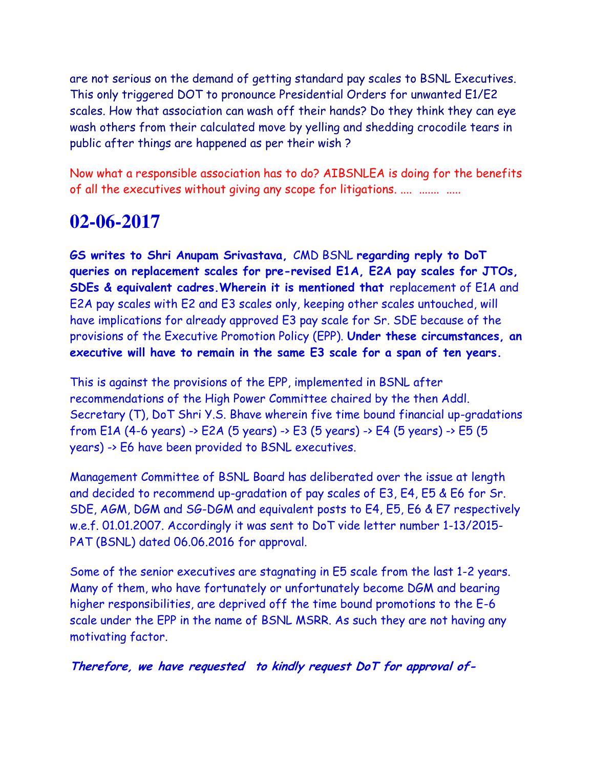are not serious on the demand of getting standard pay scales to BSNL Executives. This only triggered DOT to pronounce Presidential Orders for unwanted E1/E2 scales. How that association can wash off their hands? Do they think they can eye wash others from their calculated move by yelling and shedding crocodile tears in public after things are happened as per their wish ?

Now what a responsible association has to do? AIBSNLEA is doing for the benefits of all the executives without giving any scope for litigations. ....  $\ldots$  ......

#### **02-06-2017**

**GS writes to Shri Anupam Srivastava,** CMD BSNL **regarding reply to DoT queries on replacement scales for pre-revised E1A, E2A pay scales for JTOs, SDEs & equivalent cadres. Wherein it is mentioned that** replacement of E1A and E2A pay scales with E2 and E3 scales only, keeping other scales untouched, will have implications for already approved E3 pay scale for Sr. SDE because of the provisions of the Executive Promotion Policy (EPP). **Under these circumstances, an executive will have to remain in the same E3 scale for a span of ten years.**

This is against the provisions of the EPP, implemented in BSNL after recommendations of the High Power Committee chaired by the then Addl. Secretary (T), DoT Shri Y.S. Bhave wherein five time bound financial up-gradations from E1A (4-6 years) -> E2A (5 years) -> E3 (5 years) -> E4 (5 years) -> E5 (5 years) -> E6 have been provided to BSNL executives.

Management Committee of BSNL Board has deliberated over the issue at length and decided to recommend up-gradation of pay scales of E3, E4, E5 & E6 for Sr. SDE, AGM, DGM and SG-DGM and equivalent posts to E4, E5, E6 & E7 respectively w.e.f. 01.01.2007. Accordingly it was sent to DoT vide letter number 1-13/2015- PAT (BSNL) dated 06.06.2016 for approval.

Some of the senior executives are stagnating in E5 scale from the last 1-2 years. Many of them, who have fortunately or unfortunately become DGM and bearing higher responsibilities, are deprived off the time bound promotions to the E-6 scale under the EPP in the name of BSNL MSRR. As such they are not having any motivating factor.

**Therefore, we have requested to kindly request DoT for approval of-**